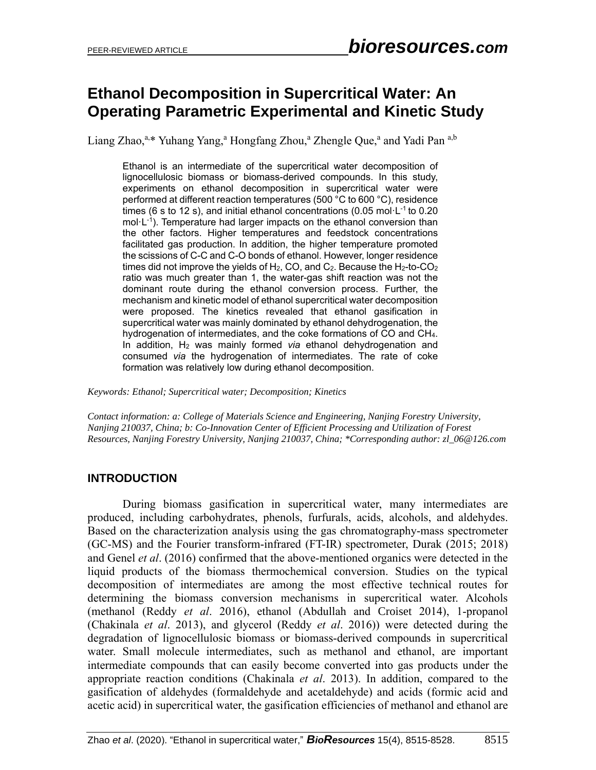# **Ethanol Decomposition in Supercritical Water: An Operating Parametric Experimental and Kinetic Study**

Liang Zhao,<sup>a,\*</sup> Yuhang Yang,<sup>a</sup> Hongfang Zhou,<sup>a</sup> Zhengle Que,<sup>a</sup> and Yadi Pan <sup>a,b</sup>

Ethanol is an intermediate of the supercritical water decomposition of lignocellulosic biomass or biomass-derived compounds. In this study, experiments on ethanol decomposition in supercritical water were performed at different reaction temperatures (500 °C to 600 °C), residence times (6 s to 12 s), and initial ethanol concentrations (0.05 mol $\cdot$ L<sup>-1</sup> to 0.20 mol·L<sup>-1</sup>). Temperature had larger impacts on the ethanol conversion than the other factors. Higher temperatures and feedstock concentrations facilitated gas production. In addition, the higher temperature promoted the scissions of C-C and C-O bonds of ethanol. However, longer residence times did not improve the yields of H<sub>2</sub>, CO, and C<sub>2</sub>. Because the H<sub>2</sub>-to-CO<sub>2</sub> ratio was much greater than 1, the water-gas shift reaction was not the dominant route during the ethanol conversion process. Further, the mechanism and kinetic model of ethanol supercritical water decomposition were proposed. The kinetics revealed that ethanol gasification in supercritical water was mainly dominated by ethanol dehydrogenation, the hydrogenation of intermediates, and the coke formations of CO and CH4. In addition, H<sup>2</sup> was mainly formed *via* ethanol dehydrogenation and consumed *via* the hydrogenation of intermediates. The rate of coke formation was relatively low during ethanol decomposition.

*Keywords: Ethanol; Supercritical water; Decomposition; Kinetics*

*Contact information: a: College of Materials Science and Engineering, Nanjing Forestry University, Nanjing 210037, China; b: Co-Innovation Center of Efficient Processing and Utilization of Forest Resources, Nanjing Forestry University, Nanjing 210037, China; \*Corresponding author: zl\_06@126.com*

## **INTRODUCTION**

During biomass gasification in supercritical water, many intermediates are produced, including carbohydrates, phenols, furfurals, acids, alcohols, and aldehydes. Based on the characterization analysis using the gas chromatography-mass spectrometer (GC-MS) and the Fourier transform-infrared (FT-IR) spectrometer, Durak (2015; 2018) and Genel *et al*. (2016) confirmed that the above-mentioned organics were detected in the liquid products of the biomass thermochemical conversion. Studies on the typical decomposition of intermediates are among the most effective technical routes for determining the biomass conversion mechanisms in supercritical water. Alcohols (methanol (Reddy *et al*. 2016), ethanol (Abdullah and Croiset 2014), 1-propanol (Chakinala *et al*. 2013), and glycerol (Reddy *et al*. 2016)) were detected during the degradation of lignocellulosic biomass or biomass-derived compounds in supercritical water. Small molecule intermediates, such as methanol and ethanol, are important intermediate compounds that can easily become converted into gas products under the appropriate reaction conditions (Chakinala *et al*. 2013). In addition, compared to the gasification of aldehydes (formaldehyde and acetaldehyde) and acids (formic acid and acetic acid) in supercritical water, the gasification efficiencies of methanol and ethanol are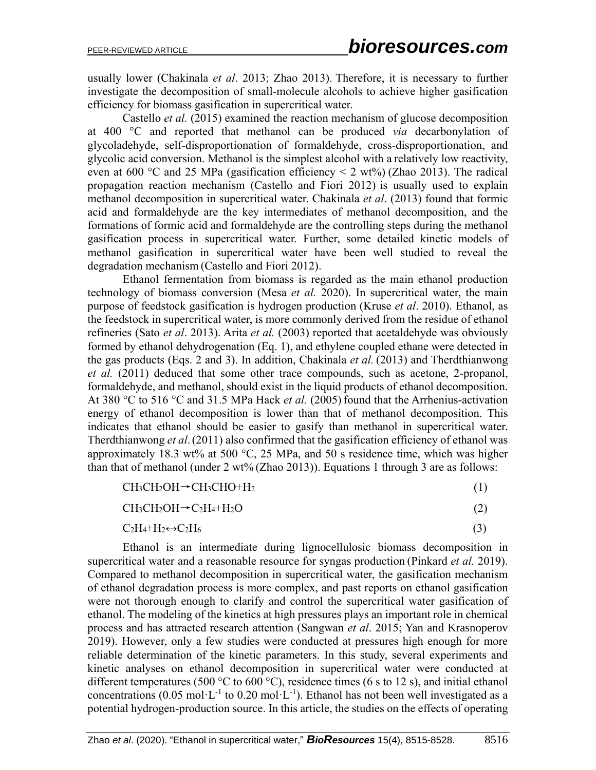usually lower (Chakinala *et al*. 2013; Zhao 2013). Therefore, it is necessary to further investigate the decomposition of small-molecule alcohols to achieve higher gasification efficiency for biomass gasification in supercritical water.

Castello *et al.* (2015) examined the reaction mechanism of glucose decomposition at 400 °C and reported that methanol can be produced *via* decarbonylation of glycoladehyde, self-disproportionation of formaldehyde, cross-disproportionation, and glycolic acid conversion. Methanol is the simplest alcohol with a relatively low reactivity, even at 600 °C and 25 MPa (gasification efficiency  $\leq$  2 wt%) (Zhao 2013). The radical propagation reaction mechanism (Castello and Fiori 2012) is usually used to explain methanol decomposition in supercritical water. Chakinala *et al*. (2013) found that formic acid and formaldehyde are the key intermediates of methanol decomposition, and the formations of formic acid and formaldehyde are the controlling steps during the methanol gasification process in supercritical water. Further, some detailed kinetic models of methanol gasification in supercritical water have been well studied to reveal the degradation mechanism (Castello and Fiori 2012).

Ethanol fermentation from biomass is regarded as the main ethanol production technology of biomass conversion (Mesa *et al.* 2020). In supercritical water, the main purpose of feedstock gasification is hydrogen production (Kruse *et al*. 2010). Ethanol, as the feedstock in supercritical water, is more commonly derived from the residue of ethanol refineries (Sato *et al*. 2013). Arita *et al.* (2003) reported that acetaldehyde was obviously formed by ethanol dehydrogenation (Eq. 1), and ethylene coupled ethane were detected in the gas products (Eqs. 2 and 3). In addition, Chakinala *et al.* (2013) and Therdthianwong *et al.* (2011) deduced that some other trace compounds, such as acetone, 2-propanol, formaldehyde, and methanol, should exist in the liquid products of ethanol decomposition. At 380 °C to 516 °C and 31.5 MPa Hack *et al.* (2005) found that the Arrhenius-activation energy of ethanol decomposition is lower than that of methanol decomposition. This indicates that ethanol should be easier to gasify than methanol in supercritical water. Therdthianwong *et al*.(2011) also confirmed that the gasification efficiency of ethanol was approximately 18.3 wt% at 500  $^{\circ}$ C, 25 MPa, and 50 s residence time, which was higher than that of methanol (under  $2 wt\%$  (Zhao 2013)). Equations 1 through 3 are as follows:

$$
CH_3CH_2OH \rightarrow CH_3CHO + H_2 \tag{1}
$$

$$
CH_3CH_2OH \rightarrow C_2H_4 + H_2O \tag{2}
$$

 $C_2H_4 + H_2 \leftrightarrow C_2H_6$  (3)

Ethanol is an intermediate during lignocellulosic biomass decomposition in supercritical water and a reasonable resource for syngas production (Pinkard *et al.* 2019). Compared to methanol decomposition in supercritical water, the gasification mechanism of ethanol degradation process is more complex, and past reports on ethanol gasification were not thorough enough to clarify and control the supercritical water gasification of ethanol. The modeling of the kinetics at high pressures plays an important role in chemical process and has attracted research attention (Sangwan *et al*. 2015; Yan and Krasnoperov 2019). However, only a few studies were conducted at pressures high enough for more reliable determination of the kinetic parameters. In this study, several experiments and kinetic analyses on ethanol decomposition in supercritical water were conducted at different temperatures (500 °C to 600 °C), residence times (6 s to 12 s), and initial ethanol concentrations (0.05 mol·L<sup>-1</sup> to 0.20 mol·L<sup>-1</sup>). Ethanol has not been well investigated as a potential hydrogen-production source. In this article, the studies on the effects of operating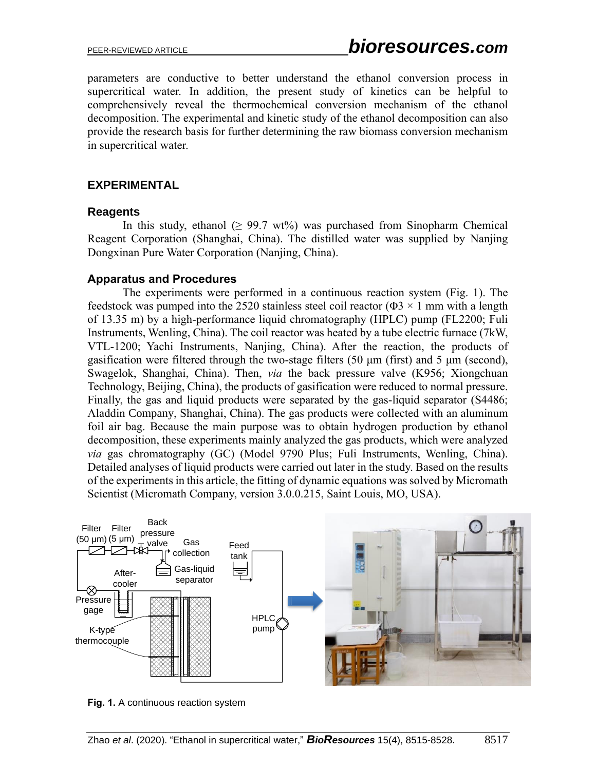parameters are conductive to better understand the ethanol conversion process in supercritical water. In addition, the present study of kinetics can be helpful to comprehensively reveal the thermochemical conversion mechanism of the ethanol decomposition. The experimental and kinetic study of the ethanol decomposition can also provide the research basis for further determining the raw biomass conversion mechanism in supercritical water.

#### **EXPERIMENTAL**

#### **Reagents**

In this study, ethanol  $(≥ 99.7 wt%)$  was purchased from Sinopharm Chemical Reagent Corporation (Shanghai, China). The distilled water was supplied by Nanjing Dongxinan Pure Water Corporation (Nanjing, China).

#### **Apparatus and Procedures**

The experiments were performed in a continuous reaction system (Fig. 1). The feedstock was pumped into the 2520 stainless steel coil reactor ( $\Phi$ 3 × 1 mm with a length of 13.35 m) by a high-performance liquid chromatography (HPLC) pump (FL2200; Fuli Instruments, Wenling, China). The coil reactor was heated by a tube electric furnace (7kW, VTL-1200; Yachi Instruments, Nanjing, China). After the reaction, the products of gasification were filtered through the two-stage filters (50 μm (first) and 5 μm (second), Swagelok, Shanghai, China). Then, *via* the back pressure valve (K956; Xiongchuan Technology, Beijing, China), the products of gasification were reduced to normal pressure. Finally, the gas and liquid products were separated by the gas-liquid separator (S4486; Aladdin Company, Shanghai, China). The gas products were collected with an aluminum foil air bag. Because the main purpose was to obtain hydrogen production by ethanol decomposition, these experiments mainly analyzed the gas products, which were analyzed *via* gas chromatography (GC) (Model 9790 Plus; Fuli Instruments, Wenling, China). Detailed analyses of liquid products were carried out later in the study. Based on the results of the experiments in this article, the fitting of dynamic equations was solved by Micromath Scientist (Micromath Company, version 3.0.0.215, Saint Louis, MO, USA).



**Fig. 1.** A continuous reaction system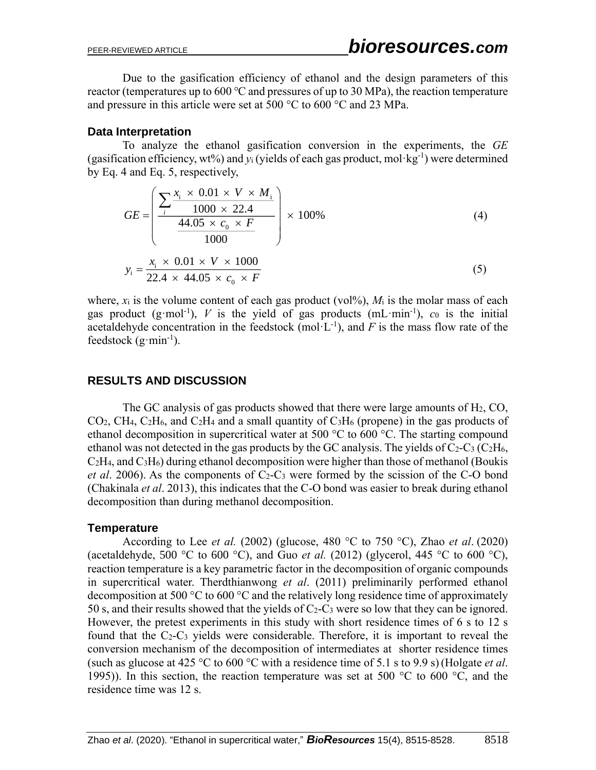Due to the gasification efficiency of ethanol and the design parameters of this reactor (temperatures up to  $600 \degree C$  and pressures of up to 30 MPa), the reaction temperature and pressure in this article were set at 500 °C to 600 °C and 23 MPa.

#### **Data Interpretation**

To analyze the ethanol gasification conversion in the experiments, the *GE* (gasification efficiency, wt%) and  $y_i$  (yields of each gas product, mol·kg<sup>-1</sup>) were determined by Eq. 4 and Eq. 5, respectively,

$$
GE = \left(\frac{\sum_{i} \frac{x_{i} \times 0.01 \times V \times M_{i}}{1000 \times 22.4}}{\frac{44.05 \times c_{0} \times F}{1000}}\right) \times 100\%
$$
\n
$$
x_{i} \times 0.01 \times V \times 1000
$$
\n(4)

$$
y_i = \frac{x_i \times 0.01 \times V \times 1000}{22.4 \times 44.05 \times c_0 \times F}
$$
 (5)

where,  $x_i$  is the volume content of each gas product (vol<sup> $\%$ </sup>),  $M_i$  is the molar mass of each gas product  $(g \text{-} mol^{-1})$ , *V* is the yield of gas products  $(mL \cdot min^{-1})$ , *c*<sub>0</sub> is the initial acetaldehyde concentration in the feedstock (mol $\cdot L^{-1}$ ), and *F* is the mass flow rate of the feedstock  $(g \cdot \text{min}^{-1})$ .

### **RESULTS AND DISCUSSION**

The GC analysis of gas products showed that there were large amounts of H2, CO,  $CO<sub>2</sub>$ , CH<sub>4</sub>, C<sub>2</sub>H<sub>6</sub>, and C<sub>2</sub>H<sub>4</sub> and a small quantity of C<sub>3</sub>H<sub>6</sub> (propene) in the gas products of ethanol decomposition in supercritical water at 500 °C to 600 °C. The starting compound ethanol was not detected in the gas products by the GC analysis. The yields of  $C_2-C_3$  (C<sub>2</sub>H<sub>6</sub>,  $C_2H_4$ , and  $C_3H_6$ ) during ethanol decomposition were higher than those of methanol (Boukis *et al.* 2006). As the components of  $C_2-C_3$  were formed by the scission of the C-O bond (Chakinala *et al*. 2013), this indicates that the C-O bond was easier to break during ethanol decomposition than during methanol decomposition.

#### **Temperature**

According to Lee *et al.* (2002) (glucose, 480 °C to 750 °C), Zhao *et al*. (2020) (acetaldehyde, 500 °C to 600 °C), and Guo *et al.* (2012) (glycerol, 445 °C to 600 °C), reaction temperature is a key parametric factor in the decomposition of organic compounds in supercritical water. Therdthianwong *et al*. (2011) preliminarily performed ethanol decomposition at 500 °C to 600 °C and the relatively long residence time of approximately 50 s, and their results showed that the yields of  $C_2-C_3$  were so low that they can be ignored. However, the pretest experiments in this study with short residence times of 6 s to 12 s found that the  $C_2-C_3$  yields were considerable. Therefore, it is important to reveal the conversion mechanism of the decomposition of intermediates at shorter residence times (such as glucose at 425 °C to 600 °C with a residence time of 5.1 s to 9.9 s)(Holgate *et al*. 1995)). In this section, the reaction temperature was set at 500  $^{\circ}$ C to 600  $^{\circ}$ C, and the residence time was 12 s.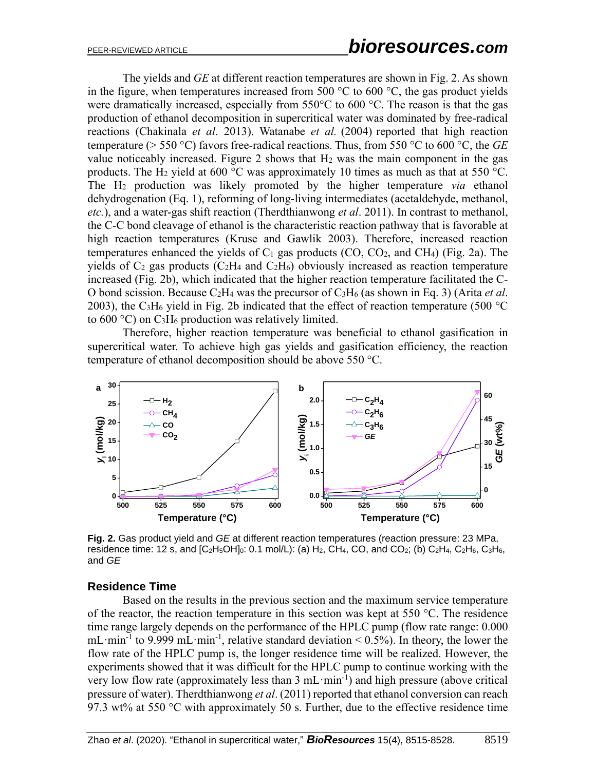The yields and *GE* at different reaction temperatures are shown in Fig. 2. As shown in the figure, when temperatures increased from 500  $\degree$ C to 600  $\degree$ C, the gas product yields were dramatically increased, especially from 550°C to 600 °C. The reason is that the gas production of ethanol decomposition in supercritical water was dominated by free-radical reactions (Chakinala *et al*. 2013). Watanabe *et al.* (2004) reported that high reaction temperature (> 550 °C) favors free-radical reactions. Thus, from 550 °C to 600 °C, the *GE* value noticeably increased. Figure 2 shows that  $H_2$  was the main component in the gas products. The H<sub>2</sub> yield at 600 °C was approximately 10 times as much as that at 550 °C. The H<sup>2</sup> production was likely promoted by the higher temperature *via* ethanol dehydrogenation (Eq. 1), reforming of long-living intermediates (acetaldehyde, methanol, *etc.*), and a water-gas shift reaction (Therdthianwong *et al*. 2011). In contrast to methanol, the C-C bond cleavage of ethanol is the characteristic reaction pathway that is favorable at high reaction temperatures (Kruse and Gawlik 2003). Therefore, increased reaction temperatures enhanced the yields of  $C_1$  gas products (CO, CO<sub>2</sub>, and CH<sub>4</sub>) (Fig. 2a). The yields of  $C_2$  gas products ( $C_2H_4$  and  $C_2H_6$ ) obviously increased as reaction temperature increased (Fig. 2b), which indicated that the higher reaction temperature facilitated the C-O bond scission. Because C2H<sup>4</sup> was the precursor of C3H<sup>6</sup> (as shown in Eq. 3) (Arita *et al*. 2003), the C<sub>3</sub>H<sub>6</sub> yield in Fig. 2b indicated that the effect of reaction temperature (500  $^{\circ}$ C) to  $600 \degree C$ ) on C<sub>3</sub>H<sub>6</sub> production was relatively limited.

Therefore, higher reaction temperature was beneficial to ethanol gasification in supercritical water. To achieve high gas yields and gasification efficiency, the reaction temperature of ethanol decomposition should be above 550 °C.



**Fig. 2.** Gas product yield and *GE* at different reaction temperatures (reaction pressure: 23 MPa, residence time: 12 s, and  $[C_2H_5OH]_0$ : 0.1 mol/L): (a)  $H_2$ , CH<sub>4</sub>, CO, and CO<sub>2</sub>; (b) C<sub>2</sub>H<sub>4</sub>, C<sub>2</sub>H<sub>6</sub>, C<sub>3</sub>H<sub>6</sub>, and *GE*

#### **Residence Time**

Based on the results in the previous section and the maximum service temperature of the reactor, the reaction temperature in this section was kept at 550 °C. The residence time range largely depends on the performance of the HPLC pump (flow rate range: 0.000 mL min<sup>-1</sup> to 9.999 mL min<sup>-1</sup>, relative standard deviation < 0.5%). In theory, the lower the flow rate of the HPLC pump is, the longer residence time will be realized. However, the experiments showed that it was difficult for the HPLC pump to continue working with the very low flow rate (approximately less than 3 mL·min<sup>-1</sup>) and high pressure (above critical pressure of water). Therdthianwong *et al*. (2011) reported that ethanol conversion can reach 97.3 wt% at 550  $\degree$ C with approximately 50 s. Further, due to the effective residence time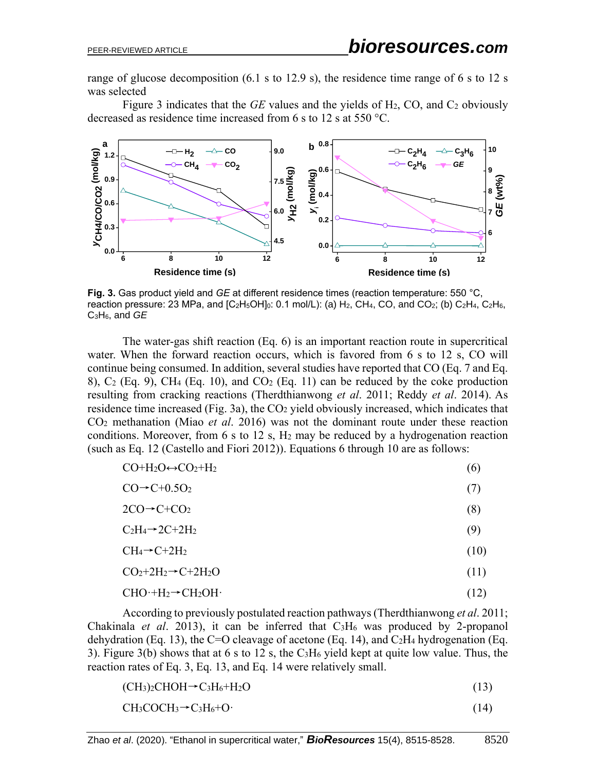range of glucose decomposition (6.1 s to 12.9 s), the residence time range of 6 s to 12 s was selected

Figure 3 indicates that the *GE* values and the yields of H2, CO, and C<sup>2</sup> obviously decreased as residence time increased from 6 s to 12 s at 550 °C.



**Fig. 3.** Gas product yield and *GE* at different residence times (reaction temperature: 550 °C, reaction pressure: 23 MPa, and  $[C_2H_5OH]_0$ : 0.1 mol/L): (a) H<sub>2</sub>, CH<sub>4</sub>, CO, and CO<sub>2</sub>; (b) C<sub>2</sub>H<sub>4</sub>, C<sub>2</sub>H<sub>6</sub>, C3H6, and *GE*

The water-gas shift reaction (Eq. 6) is an important reaction route in supercritical water. When the forward reaction occurs, which is favored from 6 s to 12 s, CO will continue being consumed. In addition, several studies have reported that CO (Eq. 7 and Eq. 8),  $C_2$  (Eq. 9), CH<sub>4</sub> (Eq. 10), and  $CO_2$  (Eq. 11) can be reduced by the coke production resulting from cracking reactions (Therdthianwong *et al*. 2011; Reddy *et al*. 2014). As residence time increased (Fig. 3a), the CO<sub>2</sub> yield obviously increased, which indicates that CO<sup>2</sup> methanation (Miao *et al*. 2016) was not the dominant route under these reaction conditions. Moreover, from  $6 s$  to  $12 s$ ,  $H_2$  may be reduced by a hydrogenation reaction (such as Eq. 12 (Castello and Fiori 2012)). Equations 6 through 10 are as follows:

| $CO+H_2O \leftrightarrow CO_2+H_2$ | (6) |
|------------------------------------|-----|
| $CO \rightarrow C + 0.5O_2$        |     |

$$
2CO \rightarrow C + CO_2 \tag{8}
$$

 $C_2H_4 \rightarrow 2C + 2H_2$  (9)

$$
CH_4 \rightarrow C + 2H_2 \tag{10}
$$

$$
CO_2 + 2H_2 \rightarrow C + 2H_2O \tag{11}
$$

$$
CHO \cdot + H_2 \rightarrow CH_2OH \cdot (12)
$$

According to previously postulated reaction pathways (Therdthianwong *et al*. 2011; Chakinala *et al.* 2013), it can be inferred that C<sub>3</sub>H<sub>6</sub> was produced by 2-propanol dehydration (Eq. 13), the C=O cleavage of acetone (Eq. 14), and  $C_2H_4$  hydrogenation (Eq. 3). Figure 3(b) shows that at 6 s to 12 s, the  $C_3H_6$  yield kept at quite low value. Thus, the reaction rates of Eq. 3, Eq. 13, and Eq. 14 were relatively small.

 $(CH<sub>3</sub>)<sub>2</sub>CHOH \rightarrow C<sub>3</sub>H<sub>6</sub>+H<sub>2</sub>O$  (13)

$$
CH3COCH3 \rightarrow C3H6+O
$$
\n(14)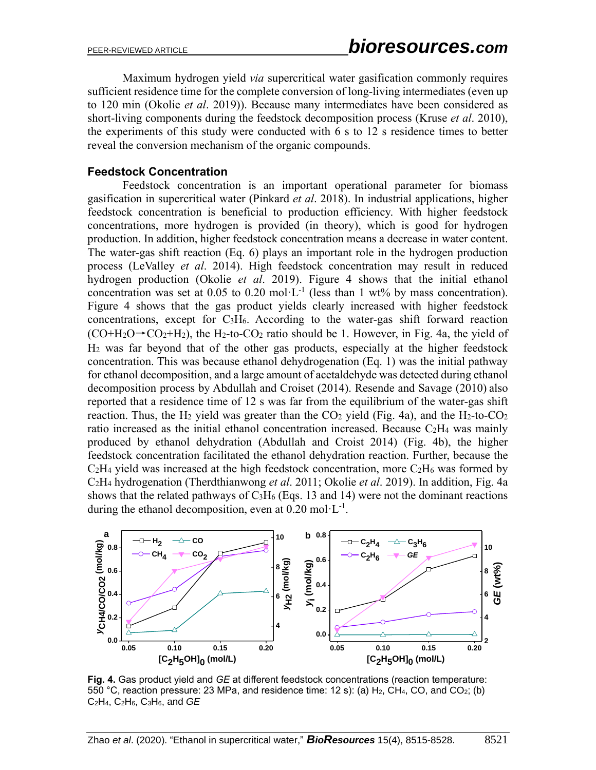Maximum hydrogen yield *via* supercritical water gasification commonly requires sufficient residence time for the complete conversion of long-living intermediates (even up to 120 min (Okolie *et al*. 2019)). Because many intermediates have been considered as short-living components during the feedstock decomposition process (Kruse *et al*. 2010), the experiments of this study were conducted with 6 s to 12 s residence times to better reveal the conversion mechanism of the organic compounds.

#### **Feedstock Concentration**

Feedstock concentration is an important operational parameter for biomass gasification in supercritical water (Pinkard *et al*. 2018). In industrial applications, higher feedstock concentration is beneficial to production efficiency. With higher feedstock concentrations, more hydrogen is provided (in theory), which is good for hydrogen production. In addition, higher feedstock concentration means a decrease in water content. The water-gas shift reaction (Eq. 6) plays an important role in the hydrogen production process (LeValley *et al*. 2014). High feedstock concentration may result in reduced hydrogen production (Okolie *et al*. 2019). Figure 4 shows that the initial ethanol concentration was set at 0.05 to 0.20 mol $\cdot L^{-1}$  (less than 1 wt% by mass concentration). Figure 4 shows that the gas product yields clearly increased with higher feedstock concentrations, except for C3H6. According to the water-gas shift forward reaction  $(CO+H<sub>2</sub>O\rightarrow CO<sub>2</sub>+H<sub>2</sub>)$ , the H<sub>2</sub>-to-CO<sub>2</sub> ratio should be 1. However, in Fig. 4a, the yield of H<sup>2</sup> was far beyond that of the other gas products, especially at the higher feedstock concentration. This was because ethanol dehydrogenation (Eq. 1) was the initial pathway for ethanol decomposition, and a large amount of acetaldehyde was detected during ethanol decomposition process by Abdullah and Croiset (2014). Resende and Savage (2010) also reported that a residence time of 12 s was far from the equilibrium of the water-gas shift reaction. Thus, the H<sub>2</sub> yield was greater than the  $CO<sub>2</sub>$  yield (Fig. 4a), and the H<sub>2</sub>-to-CO<sub>2</sub> ratio increased as the initial ethanol concentration increased. Because C2H<sup>4</sup> was mainly produced by ethanol dehydration (Abdullah and Croist 2014) (Fig. 4b), the higher feedstock concentration facilitated the ethanol dehydration reaction. Further, because the  $C_2H_4$  yield was increased at the high feedstock concentration, more  $C_2H_6$  was formed by C2H<sup>4</sup> hydrogenation (Therdthianwong *et al*. 2011; Okolie *et al*. 2019). In addition, Fig. 4a shows that the related pathways of  $C_3H_6$  (Eqs. 13 and 14) were not the dominant reactions during the ethanol decomposition, even at  $0.20$  mol·L<sup>-1</sup>.



**Fig. 4.** Gas product yield and *GE* at different feedstock concentrations (reaction temperature: 550 °C, reaction pressure: 23 MPa, and residence time: 12 s): (a)  $H_2$ , CH<sub>4</sub>, CO, and CO<sub>2</sub>; (b) C2H4, C2H6, C3H6, and *GE*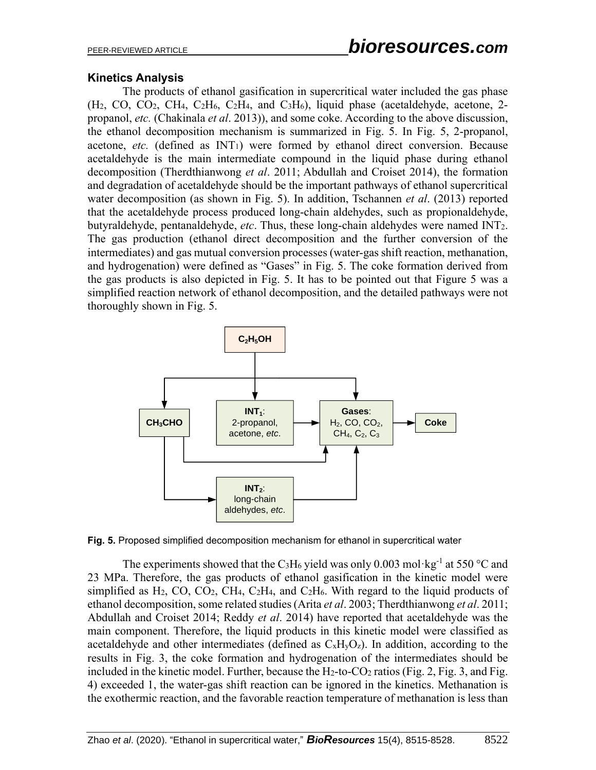### **Kinetics Analysis**

The products of ethanol gasification in supercritical water included the gas phase (H2, CO, CO2, CH4, C2H6, C2H4, and C3H6), liquid phase (acetaldehyde, acetone, 2 propanol, *etc.* (Chakinala *et al*. 2013)), and some coke. According to the above discussion, the ethanol decomposition mechanism is summarized in Fig. 5. In Fig. 5, 2-propanol, acetone, *etc.* (defined as  $INT<sub>1</sub>$ ) were formed by ethanol direct conversion. Because acetaldehyde is the main intermediate compound in the liquid phase during ethanol decomposition (Therdthianwong *et al*. 2011; Abdullah and Croiset 2014), the formation and degradation of acetaldehyde should be the important pathways of ethanol supercritical water decomposition (as shown in Fig. 5). In addition, Tschannen *et al*. (2013) reported that the acetaldehyde process produced long-chain aldehydes, such as propionaldehyde, butyraldehyde, pentanaldehyde, *etc*. Thus, these long-chain aldehydes were named INT2. The gas production (ethanol direct decomposition and the further conversion of the intermediates) and gas mutual conversion processes (water-gas shift reaction, methanation, and hydrogenation) were defined as "Gases" in Fig. 5. The coke formation derived from the gas products is also depicted in Fig. 5. It has to be pointed out that Figure 5 was a simplified reaction network of ethanol decomposition, and the detailed pathways were not thoroughly shown in Fig. 5.



**Fig. 5.** Proposed simplified decomposition mechanism for ethanol in supercritical water

The experiments showed that the C<sub>3</sub>H<sub>6</sub> yield was only 0.003 mol·kg<sup>-1</sup> at 550 °C and 23 MPa. Therefore, the gas products of ethanol gasification in the kinetic model were simplified as  $H_2$ , CO, CO<sub>2</sub>, CH<sub>4</sub>, C<sub>2</sub>H<sub>4</sub>, and C<sub>2</sub>H<sub>6</sub>. With regard to the liquid products of ethanol decomposition, some related studies(Arita *et al*. 2003; Therdthianwong *et al*. 2011; Abdullah and Croiset 2014; Reddy *et al*. 2014) have reported that acetaldehyde was the main component. Therefore, the liquid products in this kinetic model were classified as acetaldehyde and other intermediates (defined as  $C_xH_yO_z$ ). In addition, according to the results in Fig. 3, the coke formation and hydrogenation of the intermediates should be included in the kinetic model. Further, because the  $H_2$ -to-CO<sub>2</sub> ratios (Fig. 2, Fig. 3, and Fig. 4) exceeded 1, the water-gas shift reaction can be ignored in the kinetics. Methanation is the exothermic reaction, and the favorable reaction temperature of methanation is less than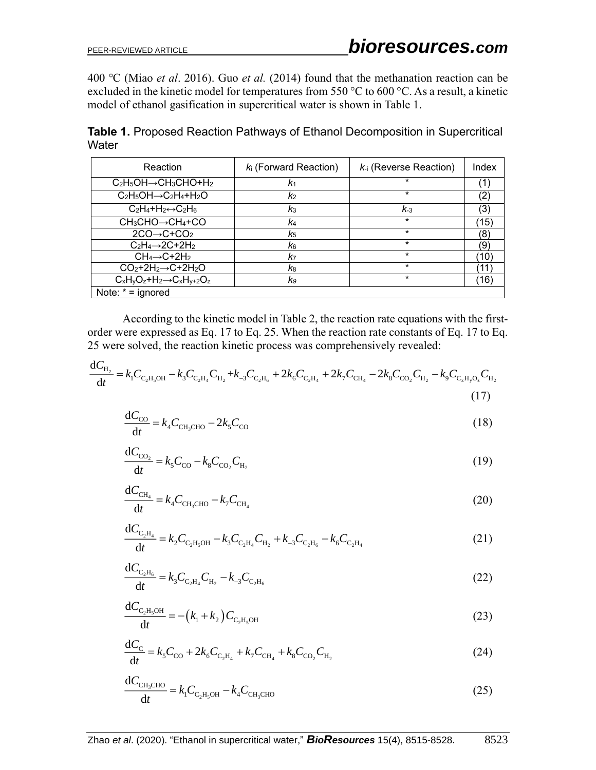400 ℃ (Miao *et al*. 2016). Guo *et al.* (2014) found that the methanation reaction can be excluded in the kinetic model for temperatures from 550 °C to 600 °C. As a result, a kinetic model of ethanol gasification in supercritical water is shown in Table 1.

**Table 1.** Proposed Reaction Pathways of Ethanol Decomposition in Supercritical **Water** 

| Reaction                                 | $k_i$ (Forward Reaction) | $k_i$ (Reverse Reaction) | Index        |
|------------------------------------------|--------------------------|--------------------------|--------------|
| $C_2H_5OH \rightarrow CH_3CHO+H_2$       | K1                       | $^\star$                 |              |
| $C_2H_5OH \rightarrow C_2H_4+H_2O$       | k <sub>2</sub>           | *                        |              |
| $C_2H_4+H_2 \leftrightarrow C_2H_6$      | $k_3$                    | $K_{-3}$                 | (3)          |
| $CH_3CHO \rightarrow CH_4 + CO$          | k4                       | $\star$                  | 15)          |
| $2CO \rightarrow C + CO2$                | K <sub>5</sub>           | $\star$                  | 8            |
| $C_2H_4 \rightarrow 2C + 2H_2$           | k6                       | $\star$                  | Έ.           |
| $CH_4 \rightarrow C + 2H_2$              | k7                       | $\star$                  | $10^{\circ}$ |
| $CO2+2H2 \rightarrow C+2H2O$             | k8                       | $\star$                  |              |
| $C_xH_yO_z+H_2\rightarrow C_xH_{y+2}O_z$ | K9                       | *                        | (16)         |
| Note: $* =$ ignored                      |                          |                          |              |

According to the kinetic model in Table 2, the reaction rate equations with the firstorder were expressed as Eq. 17 to Eq. 25. When the reaction rate constants of Eq. 17 to Eq. 25 were solved, the reaction kinetic process was comprehensively revealed:

$$
\frac{dC_{H_2}}{dt} = k_1 C_{C_2 H_5 O H} - k_3 C_{C_2 H_4} C_{H_2} + k_{-3} C_{C_2 H_6} + 2k_6 C_{C_2 H_4} + 2k_7 C_{CH_4} - 2k_8 C_{CO_2} C_{H_2} - k_9 C_{C_x H_3 O_2} C_{H_2}
$$
\n(17)

$$
\frac{\mathrm{d}C_{\mathrm{CO}}}{\mathrm{d}t} = k_4 C_{\mathrm{CH}_3 \mathrm{CHO}} - 2k_5 C_{\mathrm{CO}} \tag{18}
$$

$$
\frac{dC_{\text{CO}_2}}{dt} = k_5 C_{\text{CO}} - k_8 C_{\text{CO}_2} C_{\text{H}_2}
$$
\n(19)

$$
\frac{dC_{\text{CH}_4}}{dt} = k_4 C_{\text{CH}_3CHO} - k_7 C_{\text{CH}_4}
$$
\n(20)

$$
\frac{dC_{C_2H_4}}{dt} = k_2 C_{C_2H_5OH} - k_3 C_{C_2H_4} C_{H_2} + k_{-3} C_{C_2H_6} - k_6 C_{C_2H_4}
$$
\n(21)

$$
\frac{dC_{C_2H_6}}{dt} = k_3 C_{C_2H_4} C_{H_2} - k_{-3} C_{C_2H_6}
$$
\n(22)

$$
\frac{dC_{C_2H_5OH}}{dt} = -\left(k_1 + k_2\right)C_{C_2H_5OH} \tag{23}
$$

$$
\frac{dC_{\rm C}}{dt} = k_{\rm s}C_{\rm CO} + 2k_{\rm s}C_{\rm C_2H_4} + k_{\rm 7}C_{\rm CH_4} + k_{\rm s}C_{\rm CO_2}C_{\rm H_2}
$$
\n(24)

$$
\frac{\mathrm{d}C_{\mathrm{CH_3CHO}}}{\mathrm{d}t} = k_1 C_{\mathrm{C_2H_3OH}} - k_4 C_{\mathrm{CH_3CHO}} \tag{25}
$$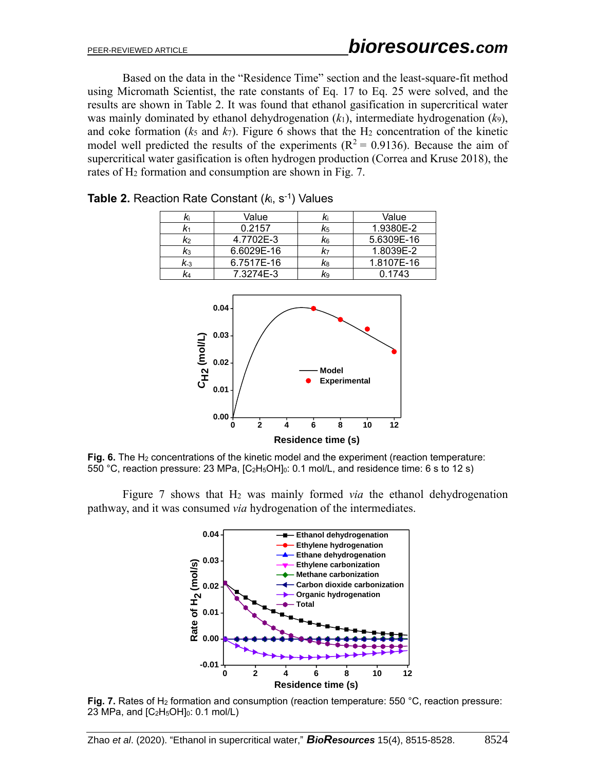Based on the data in the "Residence Time" section and the least-square-fit method using Micromath Scientist, the rate constants of Eq. 17 to Eq. 25 were solved, and the results are shown in Table 2. It was found that ethanol gasification in supercritical water was mainly dominated by ethanol dehydrogenation (*k*1), intermediate hydrogenation (*k*9), and coke formation ( $k_5$  and  $k_7$ ). Figure 6 shows that the H<sub>2</sub> concentration of the kinetic model well predicted the results of the experiments ( $R^2 = 0.9136$ ). Because the aim of supercritical water gasification is often hydrogen production (Correa and Kruse 2018), the rates of H<sub>2</sub> formation and consumption are shown in Fig. 7.

|     | Value      | Κi | Value      |
|-----|------------|----|------------|
|     | 0.2157     | K5 | 1.9380E-2  |
| K2  | 4.7702E-3  | K6 | 5.6309E-16 |
| Kз  | 6.6029E-16 | K7 | 1.8039E-2  |
| K.3 | 6.7517E-16 | K8 | 1.8107E-16 |
|     | 7.3274E-3  | K9 | 0.1743     |

**Table 2.** Reaction Rate Constant ( $k_i$ , s<sup>-1</sup>) Values



Fig. 6. The H<sub>2</sub> concentrations of the kinetic model and the experiment (reaction temperature: 550 °C, reaction pressure: 23 MPa, [C2H5OH]0: 0.1 mol/L, and residence time: 6 s to 12 s)

Figure 7 shows that H<sup>2</sup> was mainly formed *via* the ethanol dehydrogenation pathway, and it was consumed *via* hydrogenation of the intermediates.



Fig. 7. Rates of H<sub>2</sub> formation and consumption (reaction temperature: 550 °C, reaction pressure: 23 MPa, and  $[C_2H_5OH]_0$ : 0.1 mol/L)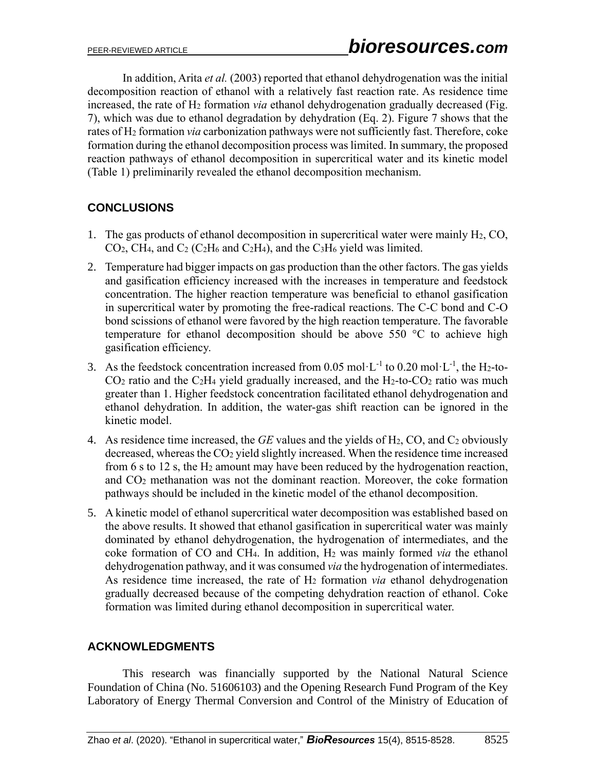In addition, Arita *et al.* (2003) reported that ethanol dehydrogenation was the initial decomposition reaction of ethanol with a relatively fast reaction rate. As residence time increased, the rate of H<sup>2</sup> formation *via* ethanol dehydrogenation gradually decreased (Fig. 7), which was due to ethanol degradation by dehydration (Eq. 2). Figure 7 shows that the rates of H<sup>2</sup> formation *via* carbonization pathways were not sufficiently fast. Therefore, coke formation during the ethanol decomposition process was limited. In summary, the proposed reaction pathways of ethanol decomposition in supercritical water and its kinetic model (Table 1) preliminarily revealed the ethanol decomposition mechanism.

# **CONCLUSIONS**

- 1. The gas products of ethanol decomposition in supercritical water were mainly H2, CO,  $CO<sub>2</sub>$ , CH<sub>4</sub>, and C<sub>2</sub> (C<sub>2</sub>H<sub>6</sub> and C<sub>2</sub>H<sub>4</sub>), and the C<sub>3</sub>H<sub>6</sub> yield was limited.
- 2. Temperature had bigger impacts on gas production than the other factors. The gas yields and gasification efficiency increased with the increases in temperature and feedstock concentration. The higher reaction temperature was beneficial to ethanol gasification in supercritical water by promoting the free-radical reactions. The C-C bond and C-O bond scissions of ethanol were favored by the high reaction temperature. The favorable temperature for ethanol decomposition should be above 550 °C to achieve high gasification efficiency.
- 3. As the feedstock concentration increased from 0.05 mol·L<sup>-1</sup> to 0.20 mol·L<sup>-1</sup>, the H<sub>2</sub>-to- $CO<sub>2</sub>$  ratio and the C<sub>2</sub>H<sub>4</sub> yield gradually increased, and the H<sub>2</sub>-to- $CO<sub>2</sub>$  ratio was much greater than 1. Higher feedstock concentration facilitated ethanol dehydrogenation and ethanol dehydration. In addition, the water-gas shift reaction can be ignored in the kinetic model.
- 4. As residence time increased, the *GE* values and the yields of H2, CO, and C<sup>2</sup> obviously decreased, whereas the CO<sub>2</sub> yield slightly increased. When the residence time increased from 6 s to 12 s, the H<sup>2</sup> amount may have been reduced by the hydrogenation reaction, and CO<sup>2</sup> methanation was not the dominant reaction. Moreover, the coke formation pathways should be included in the kinetic model of the ethanol decomposition.
- 5. A kinetic model of ethanol supercritical water decomposition was established based on the above results. It showed that ethanol gasification in supercritical water was mainly dominated by ethanol dehydrogenation, the hydrogenation of intermediates, and the coke formation of CO and CH4. In addition, H<sup>2</sup> was mainly formed *via* the ethanol dehydrogenation pathway, and it was consumed *via* the hydrogenation of intermediates. As residence time increased, the rate of H<sup>2</sup> formation *via* ethanol dehydrogenation gradually decreased because of the competing dehydration reaction of ethanol. Coke formation was limited during ethanol decomposition in supercritical water.

## **ACKNOWLEDGMENTS**

This research was financially supported by the National Natural Science Foundation of China (No. 51606103) and the Opening Research Fund Program of the Key Laboratory of Energy Thermal Conversion and Control of the Ministry of Education of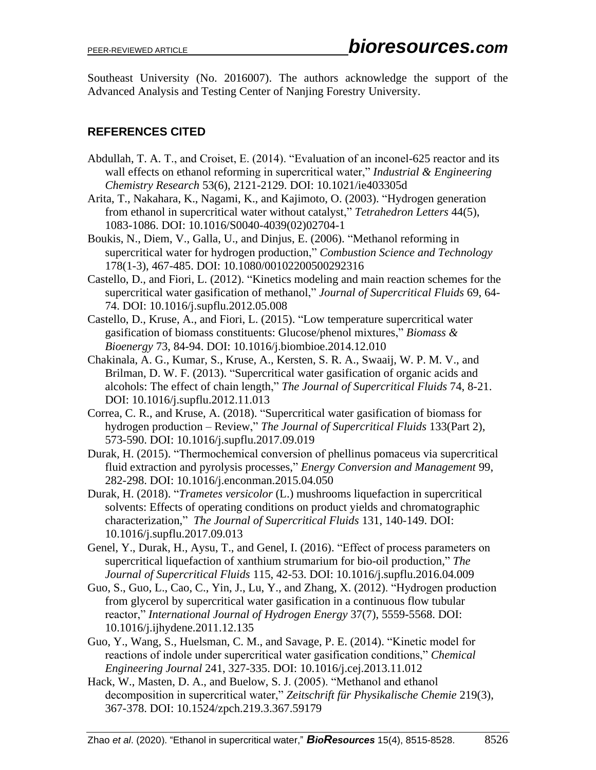Southeast University (No. 2016007). The authors acknowledge the support of the Advanced Analysis and Testing Center of Nanjing Forestry University.

# **REFERENCES CITED**

- Abdullah, T. A. T., and Croiset, E. (2014). "Evaluation of an inconel-625 reactor and its wall effects on ethanol reforming in supercritical water," *Industrial & Engineering Chemistry Research* 53(6), 2121-2129. DOI: 10.1021/ie403305d
- Arita, T., Nakahara, K., Nagami, K., and Kajimoto, O. (2003). "Hydrogen generation from ethanol in supercritical water without catalyst," *Tetrahedron Letters* 44(5), 1083-1086. DOI: 10.1016/S0040-4039(02)02704-1
- Boukis, N., Diem, V., Galla, U., and Dinjus, E. (2006). "Methanol reforming in supercritical water for hydrogen production," *Combustion Science and Technology* 178(1-3), 467-485. DOI: 10.1080/00102200500292316
- Castello, D., and Fiori, L. (2012). "Kinetics modeling and main reaction schemes for the supercritical water gasification of methanol," *Journal of Supercritical Fluids* 69, 64- 74. DOI: 10.1016/j.supflu.2012.05.008
- Castello, D., Kruse, A., and Fiori, L. (2015). "Low temperature supercritical water gasification of biomass constituents: Glucose/phenol mixtures," *Biomass & Bioenergy* 73, 84-94. DOI: 10.1016/j.biombioe.2014.12.010
- Chakinala, A. G., Kumar, S., Kruse, A., Kersten, S. R. A., Swaaij, W. P. M. V., and Brilman, D. W. F. (2013). "Supercritical water gasification of organic acids and alcohols: The effect of chain length," *The Journal of Supercritical Fluids* 74, 8-21. DOI: 10.1016/j.supflu.2012.11.013
- Correa, C. R., and Kruse, A. (2018). "Supercritical water gasification of biomass for hydrogen production – Review," *The Journal of Supercritical Fluids* 133(Part 2), 573-590. DOI: 10.1016/j.supflu.2017.09.019
- Durak, H. (2015). "Thermochemical conversion of phellinus pomaceus via supercritical fluid extraction and pyrolysis processes," *Energy Conversion and Management* 99, 282-298. DOI: 10.1016/j.enconman.2015.04.050
- Durak, H. (2018). "*Trametes versicolor* (L.) mushrooms liquefaction in supercritical solvents: Effects of operating conditions on product yields and chromatographic characterization," *The Journal of Supercritical Fluids* 131, 140-149. DOI: 10.1016/j.supflu.2017.09.013
- Genel, Y., Durak, H., Aysu, T., and Genel, I. (2016). "Effect of process parameters on supercritical liquefaction of xanthium strumarium for bio-oil production," *The Journal of Supercritical Fluids* 115, 42-53. DOI: 10.1016/j.supflu.2016.04.009
- Guo, S., Guo, L., Cao, C., Yin, J., Lu, Y., and Zhang, X. (2012). "Hydrogen production from glycerol by supercritical water gasification in a continuous flow tubular reactor," *International Journal of Hydrogen Energy* 37(7), 5559-5568. DOI: 10.1016/j.ijhydene.2011.12.135
- Guo, Y., Wang, S., Huelsman, C. M., and Savage, P. E. (2014). "Kinetic model for reactions of indole under supercritical water gasification conditions," *Chemical Engineering Journal* 241, 327-335. DOI: 10.1016/j.cej.2013.11.012
- Hack, W., Masten, D. A., and Buelow, S. J. (2005). "Methanol and ethanol decomposition in supercritical water," *Zeitschrift für Physikalische Chemie* 219(3), 367-378. DOI: 10.1524/zpch.219.3.367.59179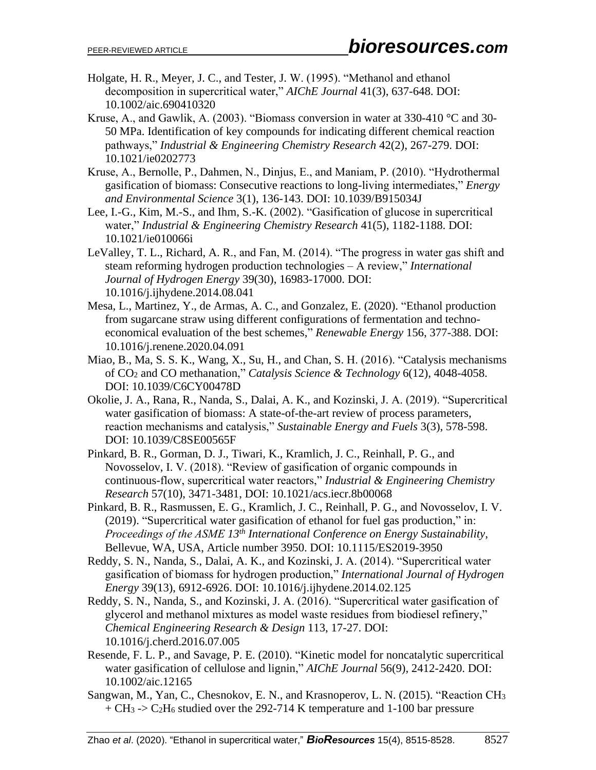- Holgate, H. R., Meyer, J. C., and Tester, J. W. (1995). "Methanol and ethanol decomposition in supercritical water," *AIChE Journal* 41(3), 637-648. DOI: 10.1002/aic.690410320
- Kruse, A., and Gawlik, A. (2003). "Biomass conversion in water at 330-410 °C and 30- 50 MPa. Identification of key compounds for indicating different chemical reaction pathways," *Industrial & Engineering Chemistry Research* 42(2), 267-279. DOI: 10.1021/ie0202773
- Kruse, A., Bernolle, P., Dahmen, N., Dinjus, E., and Maniam, P. (2010). "Hydrothermal gasification of biomass: Consecutive reactions to long-living intermediates," *Energy and Environmental Science* 3(1), 136-143. DOI: 10.1039/B915034J
- Lee, I.-G., Kim, M.-S., and Ihm, S.-K. (2002). "Gasification of glucose in supercritical water," *Industrial & Engineering Chemistry Research* 41(5), 1182-1188. DOI: 10.1021/ie010066i
- LeValley, T. L., Richard, A. R., and Fan, M. (2014). "The progress in water gas shift and steam reforming hydrogen production technologies – A review," *International Journal of Hydrogen Energy* 39(30), 16983-17000. DOI: 10.1016/j.ijhydene.2014.08.041
- Mesa, L., Martinez, Y., de Armas, A. C., and Gonzalez, E. (2020). "Ethanol production from sugarcane straw using different configurations of fermentation and technoeconomical evaluation of the best schemes," *Renewable Energy* 156, 377-388. DOI: 10.1016/j.renene.2020.04.091
- Miao, B., Ma, S. S. K., Wang, X., Su, H., and Chan, S. H. (2016). "Catalysis mechanisms of CO<sup>2</sup> and CO methanation," *Catalysis Science & Technology* 6(12), 4048-4058. DOI: 10.1039/C6CY00478D
- Okolie, J. A., Rana, R., Nanda, S., Dalai, A. K., and Kozinski, J. A. (2019). "Supercritical water gasification of biomass: A state-of-the-art review of process parameters, reaction mechanisms and catalysis," *Sustainable Energy and Fuels* 3(3), 578-598. DOI: 10.1039/C8SE00565F
- Pinkard, B. R., Gorman, D. J., Tiwari, K., Kramlich, J. C., Reinhall, P. G., and Novosselov, I. V. (2018). "Review of gasification of organic compounds in continuous-flow, supercritical water reactors," *Industrial & Engineering Chemistry Research* 57(10), 3471-3481, DOI: 10.1021/acs.iecr.8b00068
- Pinkard, B. R., Rasmussen, E. G., Kramlich, J. C., Reinhall, P. G., and Novosselov, I. V. (2019). "Supercritical water gasification of ethanol for fuel gas production," in: *Proceedings of the ASME 13th International Conference on Energy Sustainability*, Bellevue, WA, USA, Article number 3950. DOI: 10.1115/ES2019-3950
- Reddy, S. N., Nanda, S., Dalai, A. K., and Kozinski, J. A. (2014). "Supercritical water gasification of biomass for hydrogen production," *International Journal of Hydrogen Energy* 39(13), 6912-6926. DOI: 10.1016/j.ijhydene.2014.02.125
- Reddy, S. N., Nanda, S., and Kozinski, J. A. (2016). "Supercritical water gasification of glycerol and methanol mixtures as model waste residues from biodiesel refinery," *Chemical Engineering Research & Design* 113, 17-27. DOI: 10.1016/j.cherd.2016.07.005
- Resende, F. L. P., and Savage, P. E. (2010). "Kinetic model for noncatalytic supercritical water gasification of cellulose and lignin," *AIChE Journal* 56(9), 2412-2420. DOI: 10.1002/aic.12165
- Sangwan, M., Yan, C., Chesnokov, E. N., and Krasnoperov, L. N. (2015). "Reaction CH<sup>3</sup>  $+ CH_3$  -> C<sub>2</sub>H<sub>6</sub> studied over the 292-714 K temperature and 1-100 bar pressure